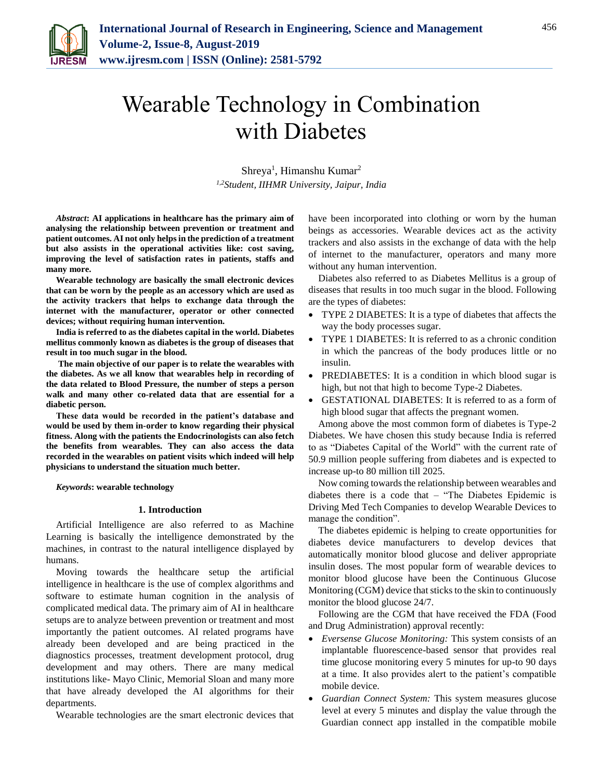

# Wearable Technology in Combination with Diabetes

Shreya<sup>1</sup>, Himanshu Kumar<sup>2</sup> *1,2Student, IIHMR University, Jaipur, India*

*Abstract***: AI applications in healthcare has the primary aim of analysing the relationship between prevention or treatment and patient outcomes. AI not only helps in the prediction of a treatment but also assists in the operational activities like: cost saving, improving the level of satisfaction rates in patients, staffs and many more.**

**Wearable technology are basically the small electronic devices that can be worn by the people as an accessory which are used as the activity trackers that helps to exchange data through the internet with the manufacturer, operator or other connected devices; without requiring human intervention.**

**India is referred to as the diabetes capital in the world. Diabetes mellitus commonly known as diabetes is the group of diseases that result in too much sugar in the blood.** 

**The main objective of our paper is to relate the wearables with the diabetes. As we all know that wearables help in recording of the data related to Blood Pressure, the number of steps a person walk and many other co-related data that are essential for a diabetic person.**

**These data would be recorded in the patient's database and would be used by them in-order to know regarding their physical fitness. Along with the patients the Endocrinologists can also fetch the benefits from wearables. They can also access the data recorded in the wearables on patient visits which indeed will help physicians to understand the situation much better.**

*Keywords***: wearable technology**

### **1. Introduction**

Artificial Intelligence are also referred to as Machine Learning is basically the intelligence demonstrated by the machines, in contrast to the natural intelligence displayed by humans.

Moving towards the healthcare setup the artificial intelligence in healthcare is the use of complex algorithms and software to estimate human cognition in the analysis of complicated medical data. The primary aim of AI in healthcare setups are to analyze between prevention or treatment and most importantly the patient outcomes. AI related programs have already been developed and are being practiced in the diagnostics processes, treatment development protocol, drug development and may others. There are many medical institutions like- Mayo Clinic, Memorial Sloan and many more that have already developed the AI algorithms for their departments.

Wearable technologies are the smart electronic devices that

have been incorporated into clothing or worn by the human beings as accessories. Wearable devices act as the activity trackers and also assists in the exchange of data with the help of internet to the manufacturer, operators and many more without any human intervention.

Diabetes also referred to as Diabetes Mellitus is a group of diseases that results in too much sugar in the blood. Following are the types of diabetes:

- TYPE 2 DIABETES: It is a type of diabetes that affects the way the body processes sugar.
- TYPE 1 DIABETES: It is referred to as a chronic condition in which the pancreas of the body produces little or no insulin.
- PREDIABETES: It is a condition in which blood sugar is high, but not that high to become Type-2 Diabetes.
- GESTATIONAL DIABETES: It is referred to as a form of high blood sugar that affects the pregnant women.

Among above the most common form of diabetes is Type-2 Diabetes. We have chosen this study because India is referred to as "Diabetes Capital of the World" with the current rate of 50.9 million people suffering from diabetes and is expected to increase up-to 80 million till 2025.

Now coming towards the relationship between wearables and diabetes there is a code that – "The Diabetes Epidemic is Driving Med Tech Companies to develop Wearable Devices to manage the condition".

The diabetes epidemic is helping to create opportunities for diabetes device manufacturers to develop devices that automatically monitor blood glucose and deliver appropriate insulin doses. The most popular form of wearable devices to monitor blood glucose have been the Continuous Glucose Monitoring (CGM) device that sticks to the skin to continuously monitor the blood glucose 24/7.

Following are the CGM that have received the FDA (Food and Drug Administration) approval recently:

- *Eversense Glucose Monitoring:* This system consists of an implantable fluorescence-based sensor that provides real time glucose monitoring every 5 minutes for up-to 90 days at a time. It also provides alert to the patient's compatible mobile device.
- *Guardian Connect System:* This system measures glucose level at every 5 minutes and display the value through the Guardian connect app installed in the compatible mobile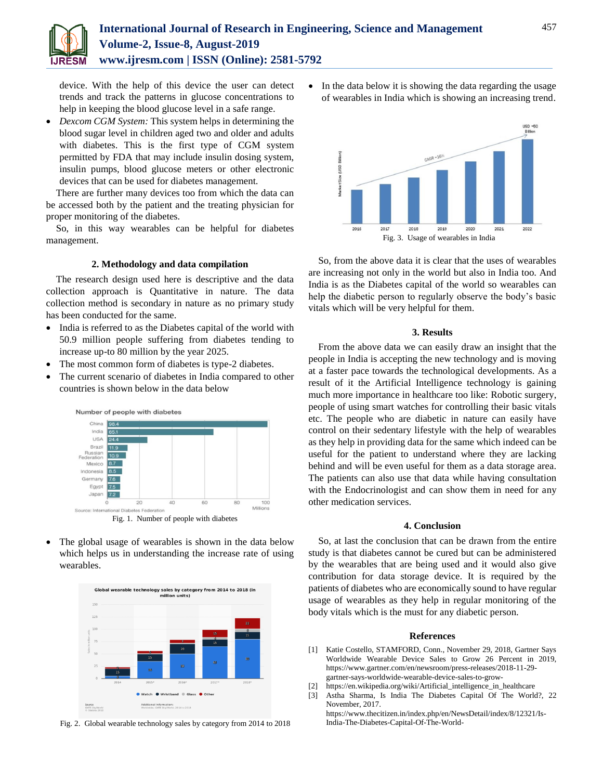device. With the help of this device the user can detect trends and track the patterns in glucose concentrations to help in keeping the blood glucose level in a safe range.

 *Dexcom CGM System:* This system helps in determining the blood sugar level in children aged two and older and adults with diabetes. This is the first type of CGM system permitted by FDA that may include insulin dosing system, insulin pumps, blood glucose meters or other electronic devices that can be used for diabetes management.

There are further many devices too from which the data can be accessed both by the patient and the treating physician for proper monitoring of the diabetes.

So, in this way wearables can be helpful for diabetes management.

## **2. Methodology and data compilation**

The research design used here is descriptive and the data collection approach is Quantitative in nature. The data collection method is secondary in nature as no primary study has been conducted for the same.

- India is referred to as the Diabetes capital of the world with 50.9 million people suffering from diabetes tending to increase up-to 80 million by the year 2025.
- The most common form of diabetes is type-2 diabetes.
- The current scenario of diabetes in India compared to other countries is shown below in the data below



 The global usage of wearables is shown in the data below which helps us in understanding the increase rate of using wearables.



Fig. 2. Global wearable technology sales by category from 2014 to 2018

• In the data below it is showing the data regarding the usage of wearables in India which is showing an increasing trend.



So, from the above data it is clear that the uses of wearables are increasing not only in the world but also in India too. And India is as the Diabetes capital of the world so wearables can help the diabetic person to regularly observe the body's basic vitals which will be very helpful for them.

#### **3. Results**

From the above data we can easily draw an insight that the people in India is accepting the new technology and is moving at a faster pace towards the technological developments. As a result of it the Artificial Intelligence technology is gaining much more importance in healthcare too like: Robotic surgery, people of using smart watches for controlling their basic vitals etc. The people who are diabetic in nature can easily have control on their sedentary lifestyle with the help of wearables as they help in providing data for the same which indeed can be useful for the patient to understand where they are lacking behind and will be even useful for them as a data storage area. The patients can also use that data while having consultation with the Endocrinologist and can show them in need for any other medication services.

#### **4. Conclusion**

So, at last the conclusion that can be drawn from the entire study is that diabetes cannot be cured but can be administered by the wearables that are being used and it would also give contribution for data storage device. It is required by the patients of diabetes who are economically sound to have regular usage of wearables as they help in regular monitoring of the body vitals which is the must for any diabetic person.

#### **References**

- [1] Katie Costello, STAMFORD, Conn., November 29, 2018, Gartner Says Worldwide Wearable Device Sales to Grow 26 Percent in 2019, https://www.gartner.com/en/newsroom/press-releases/2018-11-29 gartner-says-worldwide-wearable-device-sales-to-grow-
- [2] https://en.wikipedia.org/wiki/Artificial\_intelligence\_in\_healthcare
- [3] Astha Sharma, Is India The Diabetes Capital Of The World?, 22 November, 2017.

https://www.thecitizen.in/index.php/en/NewsDetail/index/8/12321/Is-India-The-Diabetes-Capital-Of-The-World-